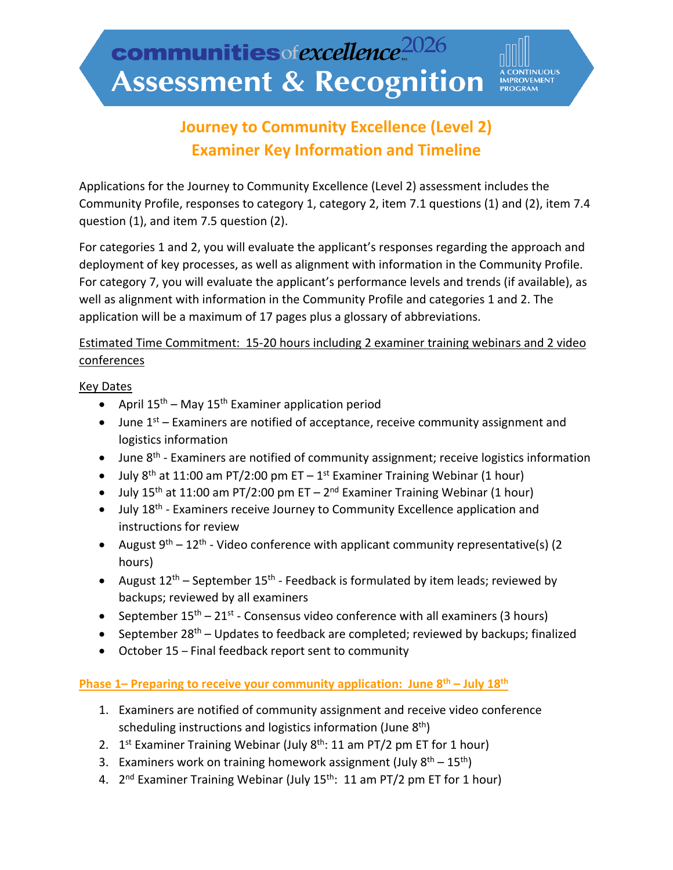**IMPROVEMENT**<br>PROGRAM

# **Journey to Community Excellence (Level 2) Examiner Key Information and Timeline**

Applications for the Journey to Community Excellence (Level 2) assessment includes the Community Profile, responses to category 1, category 2, item 7.1 questions (1) and (2), item 7.4 question (1), and item 7.5 question (2).

For categories 1 and 2, you will evaluate the applicant's responses regarding the approach and deployment of key processes, as well as alignment with information in the Community Profile. For category 7, you will evaluate the applicant's performance levels and trends (if available), as well as alignment with information in the Community Profile and categories 1 and 2. The application will be a maximum of 17 pages plus a glossary of abbreviations.

# Estimated Time Commitment: 15-20 hours including 2 examiner training webinars and 2 video conferences

#### Key Dates

- April  $15^{th}$  May  $15^{th}$  Examiner application period
- June  $1^{st}$  Examiners are notified of acceptance, receive community assignment and logistics information
- June  $8<sup>th</sup>$  Examiners are notified of community assignment; receive logistics information
- July  $8<sup>th</sup>$  at 11:00 am PT/2:00 pm ET 1<sup>st</sup> Examiner Training Webinar (1 hour)
- July 15<sup>th</sup> at 11:00 am PT/2:00 pm ET 2<sup>nd</sup> Examiner Training Webinar (1 hour)
- July 18<sup>th</sup> Examiners receive Journey to Community Excellence application and instructions for review
- August  $9^{th}$  12<sup>th</sup> Video conference with applicant community representative(s) (2 hours)
- August  $12^{th}$  September  $15^{th}$  Feedback is formulated by item leads; reviewed by backups; reviewed by all examiners
- September  $15^{th} 21^{st}$  Consensus video conference with all examiners (3 hours)
- September  $28<sup>th</sup>$  Updates to feedback are completed; reviewed by backups; finalized
- October 15 Final feedback report sent to community

### Phase 1– Preparing to receive your community application: June 8<sup>th</sup> – July 18<sup>th</sup>

- 1. Examiners are notified of community assignment and receive video conference scheduling instructions and logistics information (June  $8<sup>th</sup>$ )
- 2.  $1^{st}$  Examiner Training Webinar (July  $8^{th}$ : 11 am PT/2 pm ET for 1 hour)
- 3. Examiners work on training homework assignment (July  $8<sup>th</sup> 15<sup>th</sup>$ )
- 4.  $2^{nd}$  Examiner Training Webinar (July  $15^{th}$ : 11 am PT/2 pm ET for 1 hour)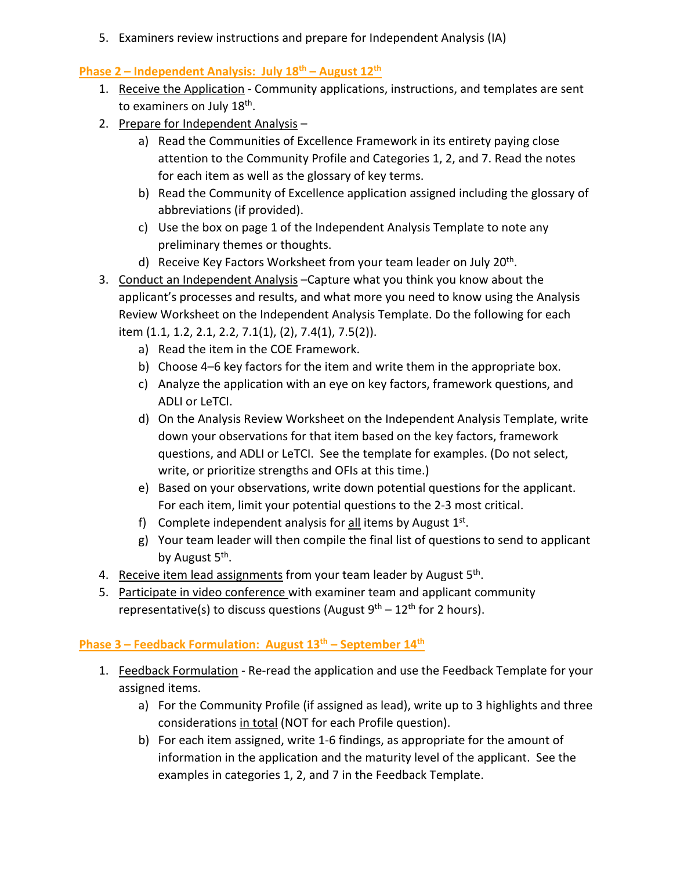5. Examiners review instructions and prepare for Independent Analysis (IA)

## **Phase 2 – Independent Analysis: July 18th – August 12th**

- 1. Receive the Application Community applications, instructions, and templates are sent to examiners on July 18<sup>th</sup>.
- 2. Prepare for Independent Analysis
	- a) Read the Communities of Excellence Framework in its entirety paying close attention to the Community Profile and Categories 1, 2, and 7. Read the notes for each item as well as the glossary of key terms.
	- b) Read the Community of Excellence application assigned including the glossary of abbreviations (if provided).
	- c) Use the box on page 1 of the Independent Analysis Template to note any preliminary themes or thoughts.
	- d) Receive Key Factors Worksheet from your team leader on July 20<sup>th</sup>.
- 3. Conduct an Independent Analysis –Capture what you think you know about the applicant's processes and results, and what more you need to know using the Analysis Review Worksheet on the Independent Analysis Template. Do the following for each item (1.1, 1.2, 2.1, 2.2, 7.1(1), (2), 7.4(1), 7.5(2)).
	- a) Read the item in the COE Framework.
	- b) Choose 4–6 key factors for the item and write them in the appropriate box.
	- c) Analyze the application with an eye on key factors, framework questions, and ADLI or LeTCI.
	- d) On the Analysis Review Worksheet on the Independent Analysis Template, write down your observations for that item based on the key factors, framework questions, and ADLI or LeTCI. See the template for examples. (Do not select, write, or prioritize strengths and OFIs at this time.)
	- e) Based on your observations, write down potential questions for the applicant. For each item, limit your potential questions to the 2-3 most critical.
	- f) Complete independent analysis for  $all$  items by August  $1<sup>st</sup>$ .
	- g) Your team leader will then compile the final list of questions to send to applicant by August 5<sup>th</sup>.
- 4. Receive item lead assignments from your team leader by August 5<sup>th</sup>.
- 5. Participate in video conference with examiner team and applicant community representative(s) to discuss questions (August  $9<sup>th</sup> - 12<sup>th</sup>$  for 2 hours).

### **Phase 3 – Feedback Formulation: August 13th – September 14th**

- 1. Feedback Formulation Re-read the application and use the Feedback Template for your assigned items.
	- a) For the Community Profile (if assigned as lead), write up to 3 highlights and three considerations in total (NOT for each Profile question).
	- b) For each item assigned, write 1-6 findings, as appropriate for the amount of information in the application and the maturity level of the applicant. See the examples in categories 1, 2, and 7 in the Feedback Template.